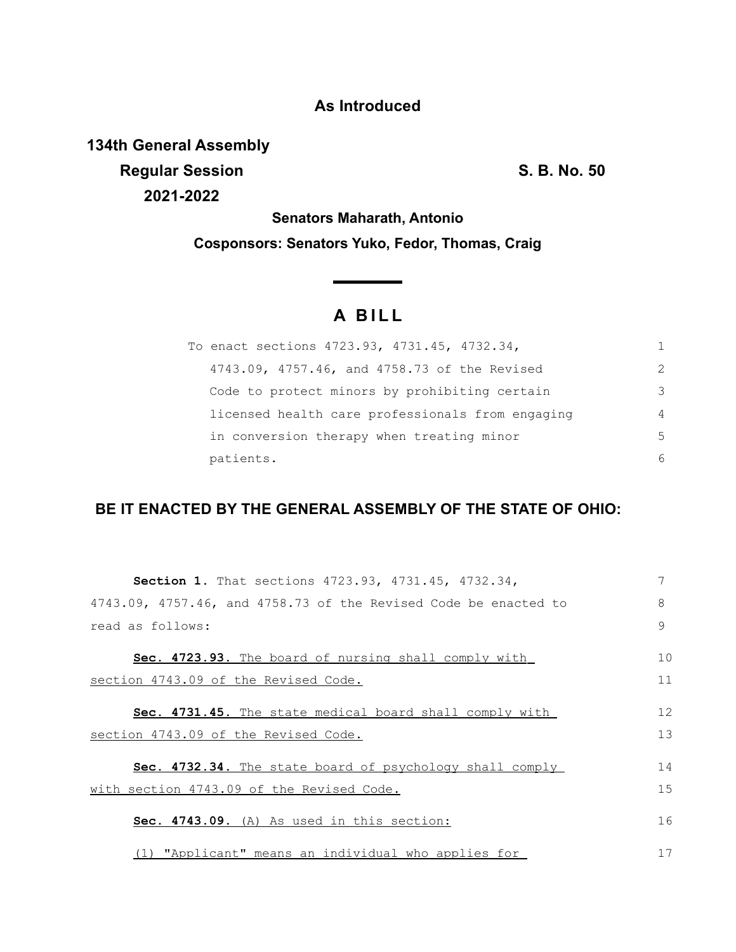## **As Introduced**

**134th General Assembly Regular Session S. B. No. 50 2021-2022**

**Senators Maharath, Antonio Cosponsors: Senators Yuko, Fedor, Thomas, Craig**

## **A B I L L**

| To enact sections 4723.93, 4731.45, 4732.34,     |                |
|--------------------------------------------------|----------------|
| 4743.09, 4757.46, and 4758.73 of the Revised     | $\mathcal{P}$  |
| Code to protect minors by prohibiting certain    | 3              |
| licensed health care professionals from engaging | $\overline{4}$ |
| in conversion therapy when treating minor        | 5              |
| patients.                                        | 6              |

## **BE IT ENACTED BY THE GENERAL ASSEMBLY OF THE STATE OF OHIO:**

| Section 1. That sections 4723.93, 4731.45, 4732.34,                     | 7  |
|-------------------------------------------------------------------------|----|
| $4743.09$ , $4757.46$ , and $4758.73$ of the Revised Code be enacted to | 8  |
| read as follows:                                                        | 9  |
| Sec. 4723.93. The board of nursing shall comply with                    | 10 |
| section 4743.09 of the Revised Code.                                    | 11 |
| <b>Sec. 4731.45.</b> The state medical board shall comply with          | 12 |
| section 4743.09 of the Revised Code.                                    | 13 |
| <b>Sec. 4732.34.</b> The state board of psychology shall comply         | 14 |
| with section 4743.09 of the Revised Code.                               | 15 |
| Sec. 4743.09. (A) As used in this section:                              | 16 |
| (1) "Applicant" means an individual who applies for                     | 17 |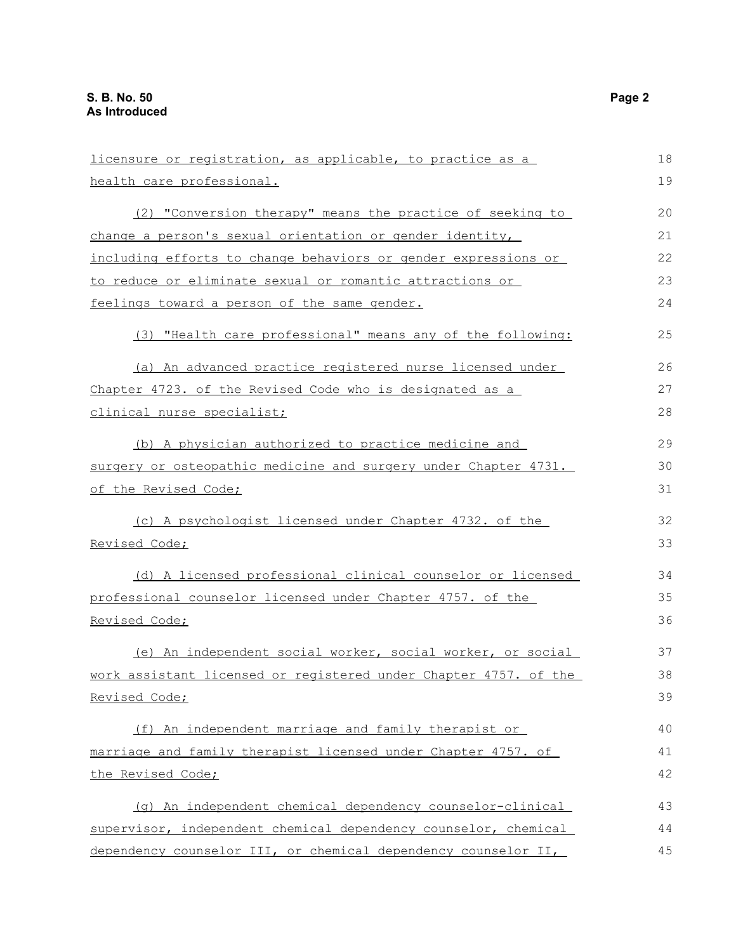| licensure or registration, as applicable, to practice as a       | 18 |
|------------------------------------------------------------------|----|
| health care professional.                                        |    |
|                                                                  | 19 |
| (2) "Conversion therapy" means the practice of seeking to        | 20 |
| change a person's sexual orientation or gender identity,         | 21 |
| including efforts to change behaviors or gender expressions or   | 22 |
| to reduce or eliminate sexual or romantic attractions or         | 23 |
| feelings toward a person of the same gender.                     | 24 |
| (3) "Health care professional" means any of the following:       | 25 |
| (a) An advanced practice registered nurse licensed under         | 26 |
| Chapter 4723. of the Revised Code who is designated as a         | 27 |
| clinical nurse specialist;                                       | 28 |
| (b) A physician authorized to practice medicine and              | 29 |
| surgery or osteopathic medicine and surgery under Chapter 4731.  | 30 |
| of the Revised Code;                                             |    |
| (c) A psychologist licensed under Chapter 4732. of the           | 32 |
| Revised Code;                                                    |    |
| (d) A licensed professional clinical counselor or licensed       | 34 |
| professional counselor licensed under Chapter 4757. of the       | 35 |
| Revised Code;                                                    | 36 |
| (e) An independent social worker, social worker, or social       | 37 |
| work assistant licensed or registered under Chapter 4757. of the | 38 |
|                                                                  |    |
| Revised Code;                                                    | 39 |
| (f) An independent marriage and family therapist or              | 40 |
| marriage and family therapist licensed under Chapter 4757. of    |    |
| the Revised Code;                                                | 42 |
| (q) An independent chemical dependency counselor-clinical        | 43 |
| supervisor, independent chemical dependency counselor, chemical  | 44 |
| dependency counselor III, or chemical dependency counselor II,   | 45 |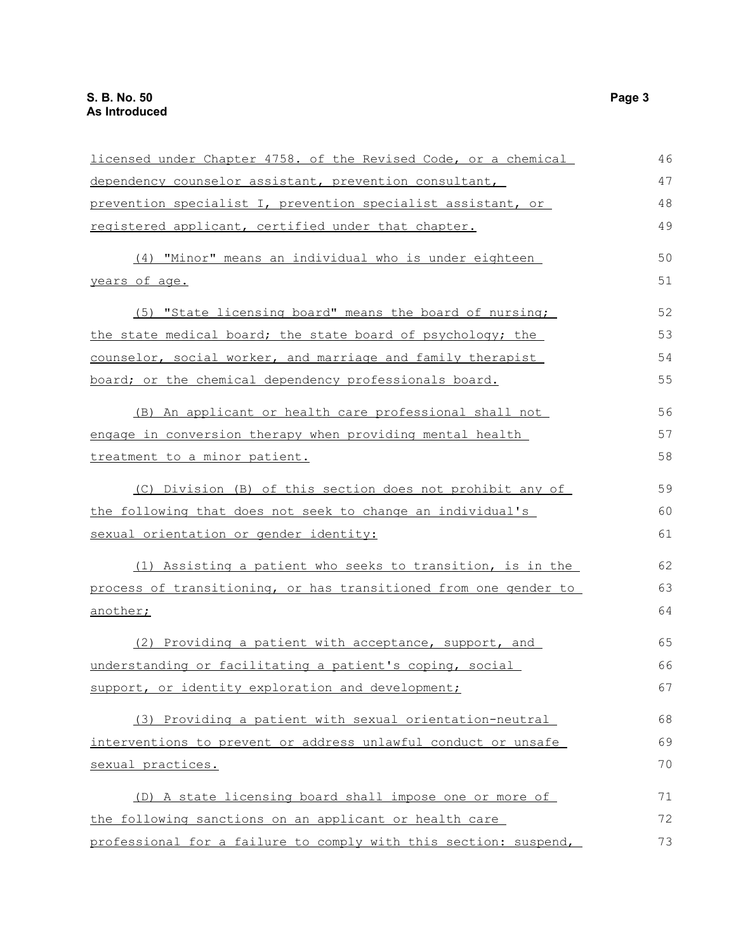| licensed under Chapter 4758. of the Revised Code, or a chemical  | 46 |
|------------------------------------------------------------------|----|
| dependency counselor assistant, prevention consultant,           | 47 |
| prevention specialist I, prevention specialist assistant, or     | 48 |
| registered applicant, certified under that chapter.              | 49 |
| (4) "Minor" means an individual who is under eighteen            | 50 |
| years of age.                                                    | 51 |
| (5) "State licensing board" means the board of nursing;          | 52 |
| the state medical board; the state board of psychology; the      | 53 |
| counselor, social worker, and marriage and family therapist      | 54 |
| board; or the chemical dependency professionals board.           | 55 |
| (B) An applicant or health care professional shall not           | 56 |
| engage in conversion therapy when providing mental health        | 57 |
| treatment to a minor patient.                                    | 58 |
| (C) Division (B) of this section does not prohibit any of        | 59 |
| the following that does not seek to change an individual's       | 60 |
| sexual orientation or gender identity:                           | 61 |
| (1) Assisting a patient who seeks to transition, is in the       | 62 |
| process of transitioning, or has transitioned from one gender to | 63 |
| another;                                                         | 64 |
| (2) Providing a patient with acceptance, support, and            | 65 |
| understanding or facilitating a patient's coping, social         | 66 |
| support, or identity exploration and development;                | 67 |
| (3) Providing a patient with sexual orientation-neutral          | 68 |
| interventions to prevent or address unlawful conduct or unsafe   | 69 |
| sexual practices.                                                | 70 |
| (D) A state licensing board shall impose one or more of          | 71 |
| the following sanctions on an applicant or health care           | 72 |
| professional for a failure to comply with this section: suspend, | 73 |